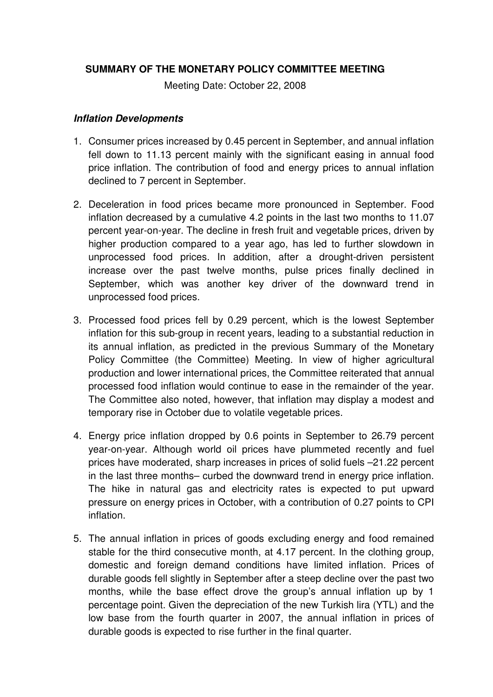## **SUMMARY OF THE MONETARY POLICY COMMITTEE MEETING**

Meeting Date: October 22, 2008

## **Inflation Developments**

- 1. Consumer prices increased by 0.45 percent in September, and annual inflation fell down to 11.13 percent mainly with the significant easing in annual food price inflation. The contribution of food and energy prices to annual inflation declined to 7 percent in September.
- 2. Deceleration in food prices became more pronounced in September. Food inflation decreased by a cumulative 4.2 points in the last two months to 11.07 percent year-on-year. The decline in fresh fruit and vegetable prices, driven by higher production compared to a year ago, has led to further slowdown in unprocessed food prices. In addition, after a drought-driven persistent increase over the past twelve months, pulse prices finally declined in September, which was another key driver of the downward trend in unprocessed food prices.
- 3. Processed food prices fell by 0.29 percent, which is the lowest September inflation for this sub-group in recent years, leading to a substantial reduction in its annual inflation, as predicted in the previous Summary of the Monetary Policy Committee (the Committee) Meeting. In view of higher agricultural production and lower international prices, the Committee reiterated that annual processed food inflation would continue to ease in the remainder of the year. The Committee also noted, however, that inflation may display a modest and temporary rise in October due to volatile vegetable prices.
- 4. Energy price inflation dropped by 0.6 points in September to 26.79 percent year-on-year. Although world oil prices have plummeted recently and fuel prices have moderated, sharp increases in prices of solid fuels –21.22 percent in the last three months– curbed the downward trend in energy price inflation. The hike in natural gas and electricity rates is expected to put upward pressure on energy prices in October, with a contribution of 0.27 points to CPI inflation.
- 5. The annual inflation in prices of goods excluding energy and food remained stable for the third consecutive month, at 4.17 percent. In the clothing group, domestic and foreign demand conditions have limited inflation. Prices of durable goods fell slightly in September after a steep decline over the past two months, while the base effect drove the group's annual inflation up by 1 percentage point. Given the depreciation of the new Turkish lira (YTL) and the low base from the fourth quarter in 2007, the annual inflation in prices of durable goods is expected to rise further in the final quarter.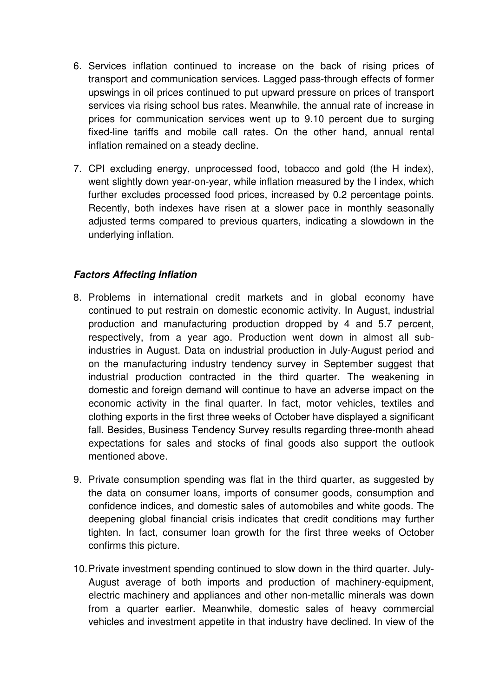- 6. Services inflation continued to increase on the back of rising prices of transport and communication services. Lagged pass-through effects of former upswings in oil prices continued to put upward pressure on prices of transport services via rising school bus rates. Meanwhile, the annual rate of increase in prices for communication services went up to 9.10 percent due to surging fixed-line tariffs and mobile call rates. On the other hand, annual rental inflation remained on a steady decline.
- 7. CPI excluding energy, unprocessed food, tobacco and gold (the H index), went slightly down year-on-year, while inflation measured by the I index, which further excludes processed food prices, increased by 0.2 percentage points. Recently, both indexes have risen at a slower pace in monthly seasonally adjusted terms compared to previous quarters, indicating a slowdown in the underlying inflation.

## **Factors Affecting Inflation**

- 8. Problems in international credit markets and in global economy have continued to put restrain on domestic economic activity. In August, industrial production and manufacturing production dropped by 4 and 5.7 percent, respectively, from a year ago. Production went down in almost all subindustries in August. Data on industrial production in July-August period and on the manufacturing industry tendency survey in September suggest that industrial production contracted in the third quarter. The weakening in domestic and foreign demand will continue to have an adverse impact on the economic activity in the final quarter. In fact, motor vehicles, textiles and clothing exports in the first three weeks of October have displayed a significant fall. Besides, Business Tendency Survey results regarding three-month ahead expectations for sales and stocks of final goods also support the outlook mentioned above.
- 9. Private consumption spending was flat in the third quarter, as suggested by the data on consumer loans, imports of consumer goods, consumption and confidence indices, and domestic sales of automobiles and white goods. The deepening global financial crisis indicates that credit conditions may further tighten. In fact, consumer loan growth for the first three weeks of October confirms this picture.
- 10. Private investment spending continued to slow down in the third quarter. July-August average of both imports and production of machinery-equipment, electric machinery and appliances and other non-metallic minerals was down from a quarter earlier. Meanwhile, domestic sales of heavy commercial vehicles and investment appetite in that industry have declined. In view of the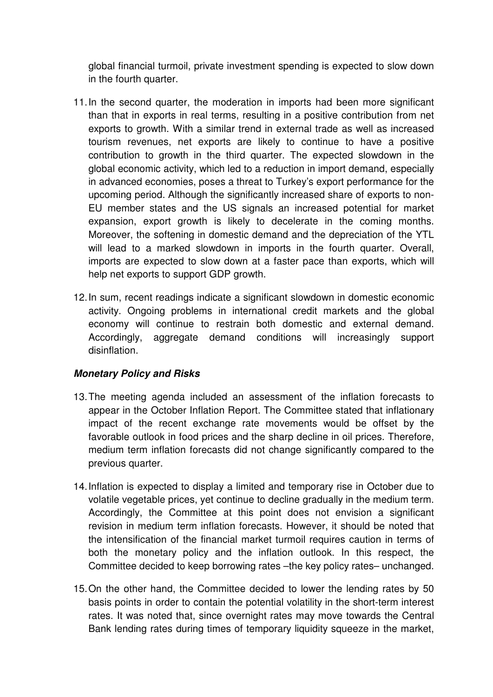global financial turmoil, private investment spending is expected to slow down in the fourth quarter.

- 11. In the second quarter, the moderation in imports had been more significant than that in exports in real terms, resulting in a positive contribution from net exports to growth. With a similar trend in external trade as well as increased tourism revenues, net exports are likely to continue to have a positive contribution to growth in the third quarter. The expected slowdown in the global economic activity, which led to a reduction in import demand, especially in advanced economies, poses a threat to Turkey's export performance for the upcoming period. Although the significantly increased share of exports to non-EU member states and the US signals an increased potential for market expansion, export growth is likely to decelerate in the coming months. Moreover, the softening in domestic demand and the depreciation of the YTL will lead to a marked slowdown in imports in the fourth quarter. Overall, imports are expected to slow down at a faster pace than exports, which will help net exports to support GDP growth.
- 12. In sum, recent readings indicate a significant slowdown in domestic economic activity. Ongoing problems in international credit markets and the global economy will continue to restrain both domestic and external demand. Accordingly, aggregate demand conditions will increasingly support disinflation.

## **Monetary Policy and Risks**

- 13. The meeting agenda included an assessment of the inflation forecasts to appear in the October Inflation Report. The Committee stated that inflationary impact of the recent exchange rate movements would be offset by the favorable outlook in food prices and the sharp decline in oil prices. Therefore, medium term inflation forecasts did not change significantly compared to the previous quarter.
- 14. Inflation is expected to display a limited and temporary rise in October due to volatile vegetable prices, yet continue to decline gradually in the medium term. Accordingly, the Committee at this point does not envision a significant revision in medium term inflation forecasts. However, it should be noted that the intensification of the financial market turmoil requires caution in terms of both the monetary policy and the inflation outlook. In this respect, the Committee decided to keep borrowing rates –the key policy rates– unchanged.
- 15. On the other hand, the Committee decided to lower the lending rates by 50 basis points in order to contain the potential volatility in the short-term interest rates. It was noted that, since overnight rates may move towards the Central Bank lending rates during times of temporary liquidity squeeze in the market,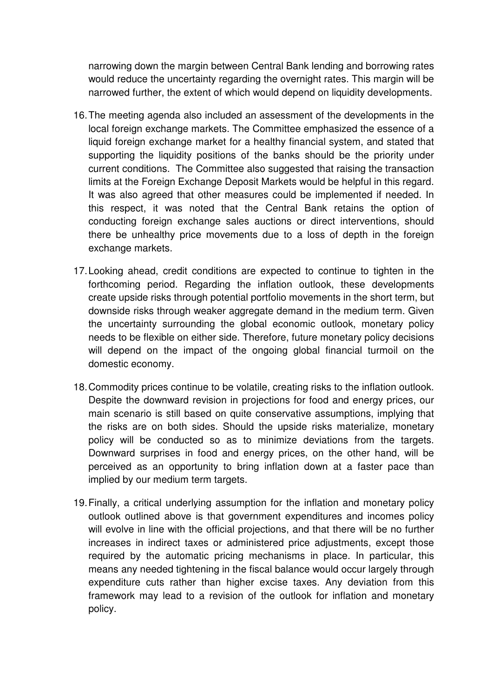narrowing down the margin between Central Bank lending and borrowing rates would reduce the uncertainty regarding the overnight rates. This margin will be narrowed further, the extent of which would depend on liquidity developments.

- 16. The meeting agenda also included an assessment of the developments in the local foreign exchange markets. The Committee emphasized the essence of a liquid foreign exchange market for a healthy financial system, and stated that supporting the liquidity positions of the banks should be the priority under current conditions. The Committee also suggested that raising the transaction limits at the Foreign Exchange Deposit Markets would be helpful in this regard. It was also agreed that other measures could be implemented if needed. In this respect, it was noted that the Central Bank retains the option of conducting foreign exchange sales auctions or direct interventions, should there be unhealthy price movements due to a loss of depth in the foreign exchange markets.
- 17. Looking ahead, credit conditions are expected to continue to tighten in the forthcoming period. Regarding the inflation outlook, these developments create upside risks through potential portfolio movements in the short term, but downside risks through weaker aggregate demand in the medium term. Given the uncertainty surrounding the global economic outlook, monetary policy needs to be flexible on either side. Therefore, future monetary policy decisions will depend on the impact of the ongoing global financial turmoil on the domestic economy.
- 18. Commodity prices continue to be volatile, creating risks to the inflation outlook. Despite the downward revision in projections for food and energy prices, our main scenario is still based on quite conservative assumptions, implying that the risks are on both sides. Should the upside risks materialize, monetary policy will be conducted so as to minimize deviations from the targets. Downward surprises in food and energy prices, on the other hand, will be perceived as an opportunity to bring inflation down at a faster pace than implied by our medium term targets.
- 19. Finally, a critical underlying assumption for the inflation and monetary policy outlook outlined above is that government expenditures and incomes policy will evolve in line with the official projections, and that there will be no further increases in indirect taxes or administered price adjustments, except those required by the automatic pricing mechanisms in place. In particular, this means any needed tightening in the fiscal balance would occur largely through expenditure cuts rather than higher excise taxes. Any deviation from this framework may lead to a revision of the outlook for inflation and monetary policy.